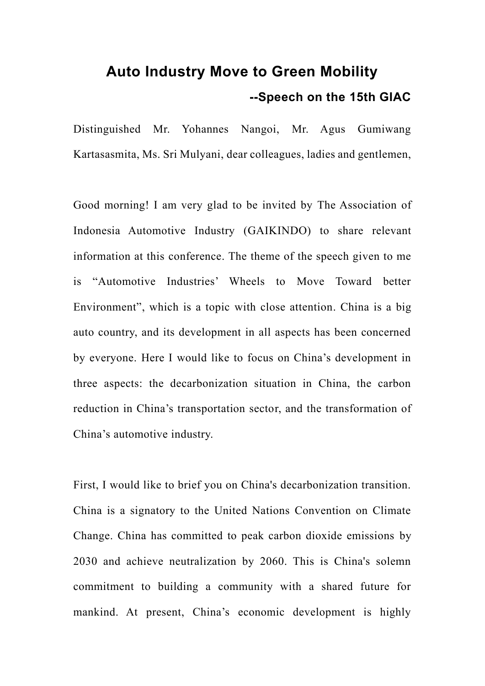## **Auto Industry Move to Green Mobility --Speech on the 15th GIAC**

Distinguished Mr. Yohannes Nangoi, Mr. Agus Gumiwang Kartasasmita, Ms. Sri Mulyani, dear colleagues, ladies and gentlemen,

Good morning! I am very glad to be invited by The Association of Indonesia Automotive Industry (GAIKINDO) to share relevant information at this conference. The theme of the speech given to me is "Automotive Industries' Wheels to Move Toward better Environment", which is a topic with close attention. China is a big auto country, and its development in all aspects has been concerned by everyone. Here I would like to focus on China's development in three aspects: the decarbonization situation in China, the carbon reduction in China's transportation sector, and the transformation of China's automotive industry.

First, I would like to brief you on China's decarbonization transition. China is a signatory to the United Nations Convention on Climate Change. China has committed to peak carbon dioxide emissions by 2030 and achieve neutralization by 2060. This is China's solemn commitment to building a community with a shared future for mankind. At present, China's economic development is highly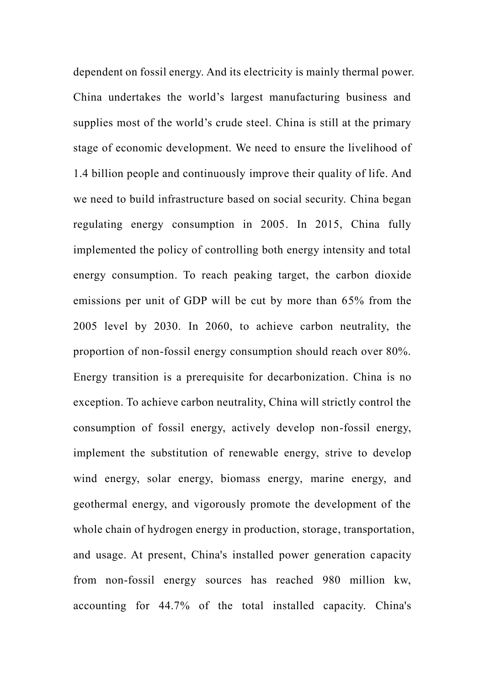dependent on fossil energy. And its electricity is mainly thermal power. China undertakes the world's largest manufacturing business and supplies most of the world's crude steel. China is still at the primary stage of economic development. We need to ensure the livelihood of 1.4 billion people and continuously improve their quality of life. And we need to build infrastructure based on social security. China began regulating energy consumption in 2005. In 2015, China fully implemented the policy of controlling both energy intensity and total energy consumption. To reach peaking target, the carbon dioxide emissions per unit of GDP will be cut by more than 65% from the 2005 level by 2030. In 2060, to achieve carbon neutrality, the proportion of non-fossil energy consumption should reach over 80%. Energy transition is a prerequisite for decarbonization. China is no exception. To achieve carbon neutrality, China will strictly control the consumption of fossil energy, actively develop non-fossil energy, implement the substitution of renewable energy, strive to develop wind energy, solar energy, biomass energy, marine energy, and geothermal energy, and vigorously promote the development of the whole chain of hydrogen energy in production, storage, transportation, and usage. At present, China's installed power generation capacity from non-fossil energy sources has reached 980 million kw, accounting for 44.7% of the total installed capacity. China's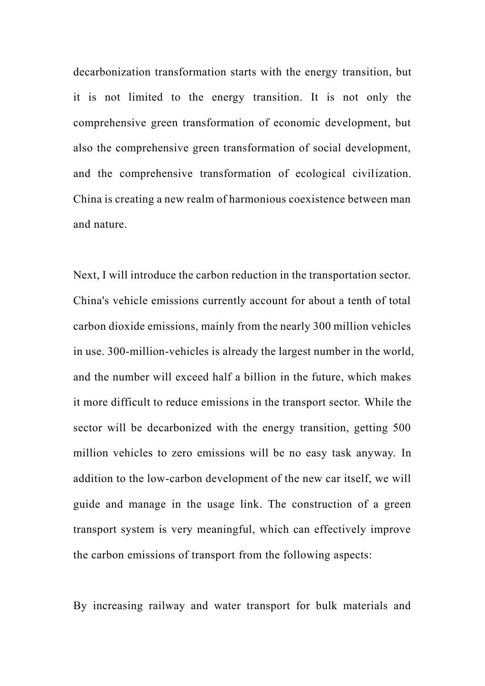decarbonization transformation starts with the energy transition, but it is not limited to the energy transition. It is not only the comprehensive green transformation of economic development, but also the comprehensive green transformation of social development, and the comprehensive transformation of ecological civilization. China is creating a new realm of harmonious coexistence between man and nature.

Next, I will introduce the carbon reduction in the transportation sector. China's vehicle emissions currently account for about a tenth of total carbon dioxide emissions, mainly from the nearly 300 million vehicles in use. 300-million-vehicles is already the largest number in the world, and the number will exceed half a billion in the future, which makes it more difficult to reduce emissions in the transport sector. While the sector will be decarbonized with the energy transition, getting 500 million vehicles to zero emissions will be no easy task anyway. In addition to the low-carbon development of the new car itself, we will guide and manage in the usage link. The construction of a green transport system is very meaningful, which can effectively improve the carbon emissions of transport from the following aspects:

By increasing railway and water transport for bulk materials and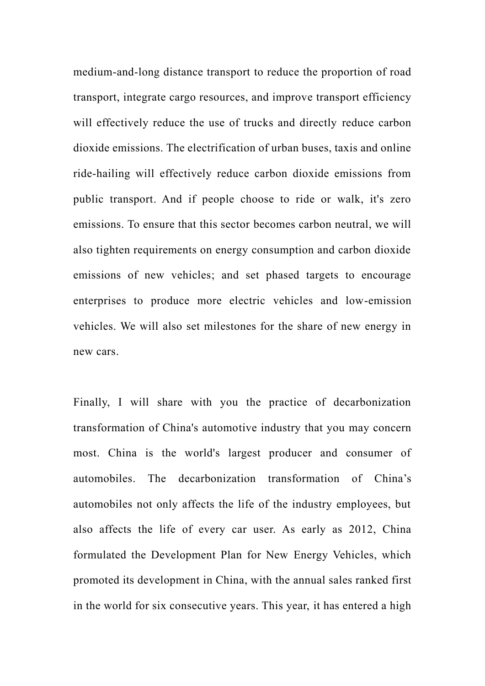medium-and-long distance transport to reduce the proportion of road transport, integrate cargo resources, and improve transport efficiency will effectively reduce the use of trucks and directly reduce carbon dioxide emissions. The electrification of urban buses, taxis and online ride-hailing will effectively reduce carbon dioxide emissions from public transport. And if people choose to ride or walk, it's zero emissions. To ensure that this sector becomes carbon neutral, we will also tighten requirements on energy consumption and carbon dioxide emissions of new vehicles; and set phased targets to encourage enterprises to produce more electric vehicles and low-emission vehicles. We will also set milestones for the share of new energy in new cars.

Finally, I will share with you the practice of decarbonization transformation of China's automotive industry that you may concern most. China is the world's largest producer and consumer of automobiles. The decarbonization transformation of China's automobiles not only affects the life of the industry employees, but also affects the life of every car user. As early as 2012, China formulated the Development Plan for New Energy Vehicles, which promoted its development in China, with the annual sales ranked first in the world for six consecutive years. This year, it has entered a high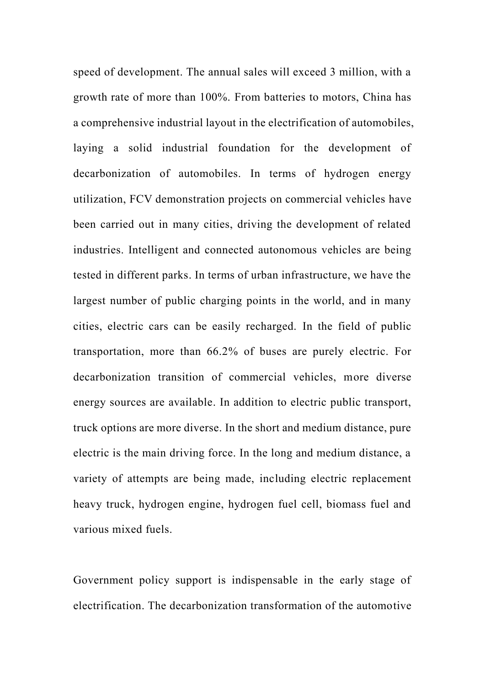speed of development. The annual sales will exceed 3 million, with a growth rate of more than 100%. From batteries to motors, China has a comprehensive industrial layout in the electrification of automobiles, laying a solid industrial foundation for the development of decarbonization of automobiles. In terms of hydrogen energy utilization, FCV demonstration projects on commercial vehicles have been carried out in many cities, driving the development of related industries. Intelligent and connected autonomous vehicles are being tested in different parks. In terms of urban infrastructure, we have the largest number of public charging points in the world, and in many cities, electric cars can be easily recharged. In the field of public transportation, more than 66.2% of buses are purely electric. For decarbonization transition of commercial vehicles, more diverse energy sources are available. In addition to electric public transport, truck options are more diverse. In the short and medium distance, pure electric is the main driving force. In the long and medium distance, a variety of attempts are being made, including electric replacement heavy truck, hydrogen engine, hydrogen fuel cell, biomass fuel and various mixed fuels.

Government policy support is indispensable in the early stage of electrification. The decarbonization transformation of the automotive